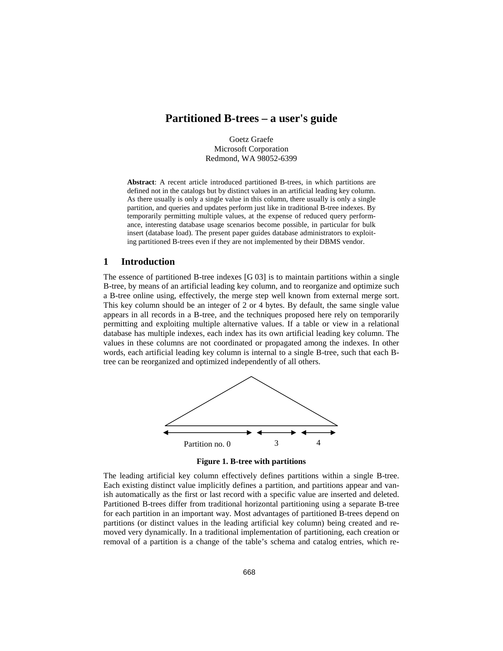# **Partitioned B-trees – a user's guide**

Goetz Graefe Microsoft Corporation Redmond, WA 98052-6399

**Abstract**: A recent article introduced partitioned B-trees, in which partitions are defined not in the catalogs but by distinct values in an artificial leading key column. As there usually is only a single value in this column, there usually is only a single partition, and queries and updates perform just like in traditional B-tree indexes. By temporarily permitting multiple values, at the expense of reduced query performance, interesting database usage scenarios become possible, in particular for bulk insert (database load). The present paper guides database administrators to exploiting partitioned B-trees even if they are not implemented by their DBMS vendor.

### **1 Introduction**

The essence of partitioned B-tree indexes [G 03] is to maintain partitions within a single B-tree, by means of an artificial leading key column, and to reorganize and optimize such a B-tree online using, effectively, the merge step well known from external merge sort. This key column should be an integer of 2 or 4 bytes. By default, the same single value appears in all records in a B-tree, and the techniques proposed here rely on temporarily permitting and exploiting multiple alternative values. If a table or view in a relational database has multiple indexes, each index has its own artificial leading key column. The values in these columns are not coordinated or propagated among the indexes. In other words, each artificial leading key column is internal to a single B-tree, such that each Btree can be reorganized and optimized independently of all others.



**Figure 1. B-tree with partitions** 

The leading artificial key column effectively defines partitions within a single B-tree. Each existing distinct value implicitly defines a partition, and partitions appear and vanish automatically as the first or last record with a specific value are inserted and deleted. Partitioned B-trees differ from traditional horizontal partitioning using a separate B-tree for each partition in an important way. Most advantages of partitioned B-trees depend on partitions (or distinct values in the leading artificial key column) being created and removed very dynamically. In a traditional implementation of partitioning, each creation or removal of a partition is a change of the table's schema and catalog entries, which re-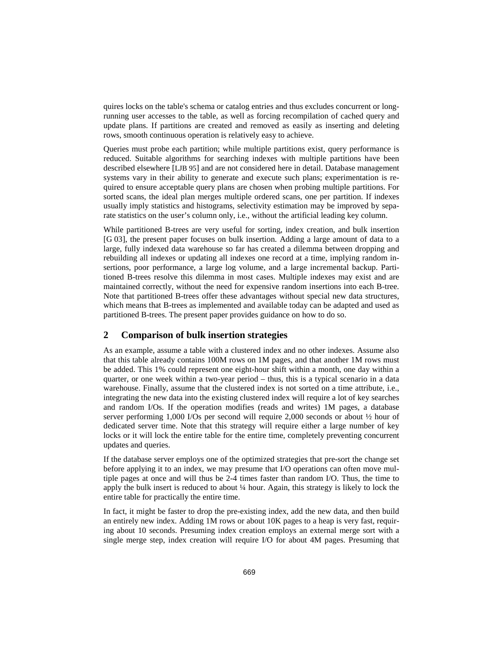quires locks on the table's schema or catalog entries and thus excludes concurrent or longrunning user accesses to the table, as well as forcing recompilation of cached query and update plans. If partitions are created and removed as easily as inserting and deleting rows, smooth continuous operation is relatively easy to achieve.

Queries must probe each partition; while multiple partitions exist, query performance is reduced. Suitable algorithms for searching indexes with multiple partitions have been described elsewhere [LJB 95] and are not considered here in detail. Database management systems vary in their ability to generate and execute such plans; experimentation is required to ensure acceptable query plans are chosen when probing multiple partitions. For sorted scans, the ideal plan merges multiple ordered scans, one per partition. If indexes usually imply statistics and histograms, selectivity estimation may be improved by separate statistics on the user's column only, i.e., without the artificial leading key column.

While partitioned B-trees are very useful for sorting, index creation, and bulk insertion [G 03], the present paper focuses on bulk insertion. Adding a large amount of data to a large, fully indexed data warehouse so far has created a dilemma between dropping and rebuilding all indexes or updating all indexes one record at a time, implying random insertions, poor performance, a large log volume, and a large incremental backup. Partitioned B-trees resolve this dilemma in most cases. Multiple indexes may exist and are maintained correctly, without the need for expensive random insertions into each B-tree. Note that partitioned B-trees offer these advantages without special new data structures, which means that B-trees as implemented and available today can be adapted and used as partitioned B-trees. The present paper provides guidance on how to do so.

## **2 Comparison of bulk insertion strategies**

As an example, assume a table with a clustered index and no other indexes. Assume also that this table already contains 100M rows on 1M pages, and that another 1M rows must be added. This 1% could represent one eight-hour shift within a month, one day within a quarter, or one week within a two-year period – thus, this is a typical scenario in a data warehouse. Finally, assume that the clustered index is not sorted on a time attribute, i.e., integrating the new data into the existing clustered index will require a lot of key searches and random I/Os. If the operation modifies (reads and writes) 1M pages, a database server performing 1,000 I/Os per second will require 2,000 seconds or about ½ hour of dedicated server time. Note that this strategy will require either a large number of key locks or it will lock the entire table for the entire time, completely preventing concurrent updates and queries.

If the database server employs one of the optimized strategies that pre-sort the change set before applying it to an index, we may presume that I/O operations can often move multiple pages at once and will thus be 2-4 times faster than random I/O. Thus, the time to apply the bulk insert is reduced to about ¼ hour. Again, this strategy is likely to lock the entire table for practically the entire time.

In fact, it might be faster to drop the pre-existing index, add the new data, and then build an entirely new index. Adding 1M rows or about 10K pages to a heap is very fast, requiring about 10 seconds. Presuming index creation employs an external merge sort with a single merge step, index creation will require I/O for about 4M pages. Presuming that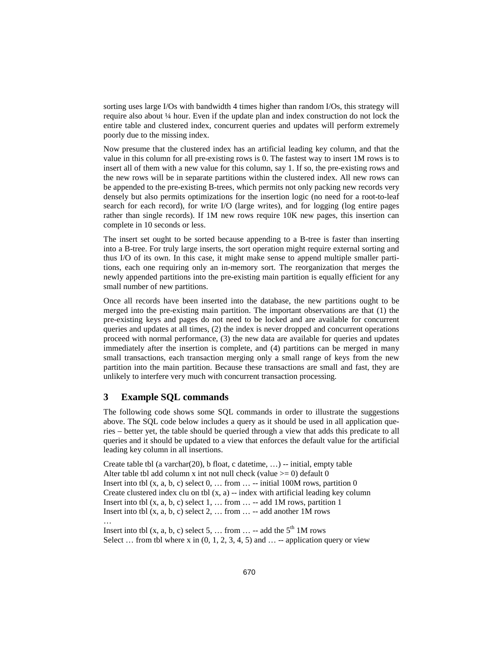sorting uses large I/Os with bandwidth 4 times higher than random I/Os, this strategy will require also about ¼ hour. Even if the update plan and index construction do not lock the entire table and clustered index, concurrent queries and updates will perform extremely poorly due to the missing index.

Now presume that the clustered index has an artificial leading key column, and that the value in this column for all pre-existing rows is 0. The fastest way to insert 1M rows is to insert all of them with a new value for this column, say 1. If so, the pre-existing rows and the new rows will be in separate partitions within the clustered index. All new rows can be appended to the pre-existing B-trees, which permits not only packing new records very densely but also permits optimizations for the insertion logic (no need for a root-to-leaf search for each record), for write I/O (large writes), and for logging (log entire pages rather than single records). If 1M new rows require 10K new pages, this insertion can complete in 10 seconds or less.

The insert set ought to be sorted because appending to a B-tree is faster than inserting into a B-tree. For truly large inserts, the sort operation might require external sorting and thus I/O of its own. In this case, it might make sense to append multiple smaller partitions, each one requiring only an in-memory sort. The reorganization that merges the newly appended partitions into the pre-existing main partition is equally efficient for any small number of new partitions.

Once all records have been inserted into the database, the new partitions ought to be merged into the pre-existing main partition. The important observations are that (1) the pre-existing keys and pages do not need to be locked and are available for concurrent queries and updates at all times, (2) the index is never dropped and concurrent operations proceed with normal performance, (3) the new data are available for queries and updates immediately after the insertion is complete, and (4) partitions can be merged in many small transactions, each transaction merging only a small range of keys from the new partition into the main partition. Because these transactions are small and fast, they are unlikely to interfere very much with concurrent transaction processing.

#### **3 Example SQL commands**

The following code shows some SQL commands in order to illustrate the suggestions above. The SQL code below includes a query as it should be used in all application queries – better yet, the table should be queried through a view that adds this predicate to all queries and it should be updated to a view that enforces the default value for the artificial leading key column in all insertions.

Create table tbl (a varchar(20), b float, c datetime,  $\dots$ ) -- initial, empty table Alter table tbl add column x int not null check (value  $\ge$  = 0) default 0 Insert into tbl  $(x, a, b, c)$  select  $0, \ldots$  from  $\ldots$  -- initial 100M rows, partition 0 Create clustered index clu on tbl  $(x, a)$  -- index with artificial leading key column Insert into tbl  $(x, a, b, c)$  select  $1, \ldots$  from  $\ldots$  -- add 1M rows, partition 1 Insert into tbl  $(x, a, b, c)$  select  $2, \ldots$  from  $\ldots$  -- add another 1M rows …

Insert into tbl  $(x, a, b, c)$  select 5, ... from ... -- add the  $5<sup>th</sup>$  1M rows Select ... from tbl where x in  $(0, 1, 2, 3, 4, 5)$  and  $\dots$  --application query or view